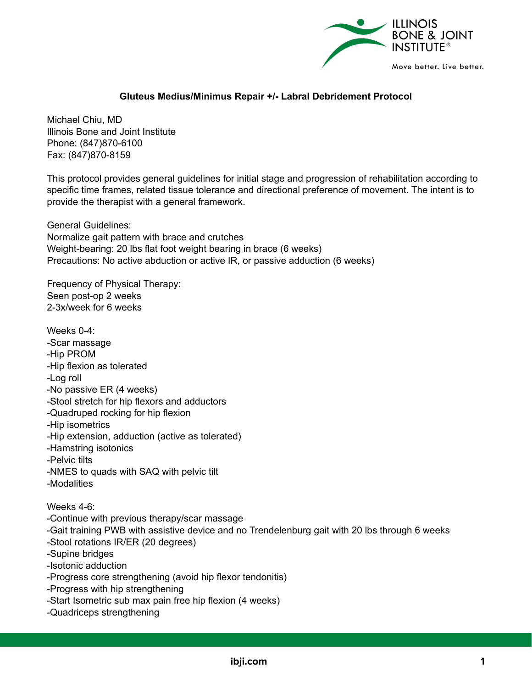

## **Gluteus Medius/Minimus Repair +/- Labral Debridement Protocol**

Michael Chiu, MD Illinois Bone and Joint Institute Phone: (847)870-6100 Fax: (847)870-8159

This protocol provides general guidelines for initial stage and progression of rehabilitation according to specific time frames, related tissue tolerance and directional preference of movement. The intent is to provide the therapist with a general framework.

General Guidelines: Normalize gait pattern with brace and crutches Weight-bearing: 20 lbs flat foot weight bearing in brace (6 weeks) Precautions: No active abduction or active IR, or passive adduction (6 weeks)

Frequency of Physical Therapy: Seen post-op 2 weeks 2-3x/week for 6 weeks

Weeks 0-4: -Scar massage -Hip PROM -Hip flexion as tolerated -Log roll -No passive ER (4 weeks) -Stool stretch for hip flexors and adductors -Quadruped rocking for hip flexion -Hip isometrics -Hip extension, adduction (active as tolerated) -Hamstring isotonics -Pelvic tilts -NMES to quads with SAQ with pelvic tilt -Modalities Weeks 4-6: -Continue with previous therapy/scar massage -Gait training PWB with assistive device and no Trendelenburg gait with 20 lbs through 6 weeks -Stool rotations IR/ER (20 degrees) -Supine bridges -Isotonic adduction -Progress core strengthening (avoid hip flexor tendonitis) -Progress with hip strengthening -Start Isometric sub max pain free hip flexion (4 weeks) -Quadriceps strengthening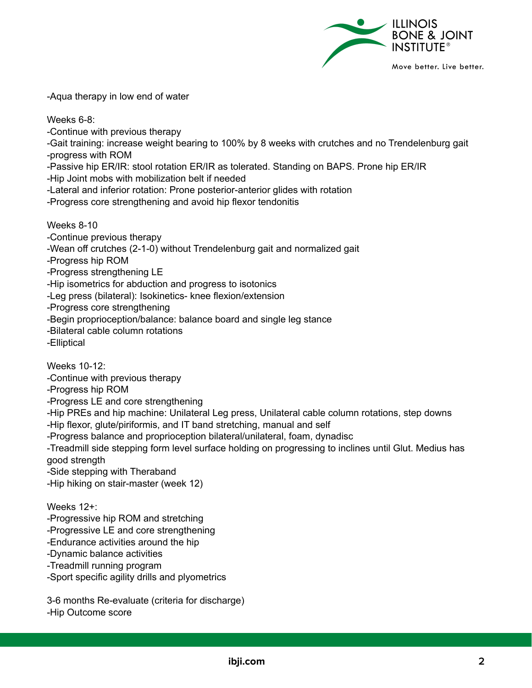

-Aqua therapy in low end of water

Weeks 6-8:

-Continue with previous therapy

-Gait training: increase weight bearing to 100% by 8 weeks with crutches and no Trendelenburg gait -progress with ROM

-Passive hip ER/IR: stool rotation ER/IR as tolerated. Standing on BAPS. Prone hip ER/IR

-Hip Joint mobs with mobilization belt if needed

-Lateral and inferior rotation: Prone posterior-anterior glides with rotation

-Progress core strengthening and avoid hip flexor tendonitis

Weeks 8-10

-Continue previous therapy

-Wean off crutches (2-1-0) without Trendelenburg gait and normalized gait

-Progress hip ROM

-Progress strengthening LE

-Hip isometrics for abduction and progress to isotonics

-Leg press (bilateral): Isokinetics- knee flexion/extension

-Progress core strengthening

-Begin proprioception/balance: balance board and single leg stance

-Bilateral cable column rotations

-Elliptical

Weeks 10-12:

-Continue with previous therapy

-Progress hip ROM

-Progress LE and core strengthening

-Hip PREs and hip machine: Unilateral Leg press, Unilateral cable column rotations, step downs

-Hip flexor, glute/piriformis, and IT band stretching, manual and self

-Progress balance and proprioception bilateral/unilateral, foam, dynadisc

-Treadmill side stepping form level surface holding on progressing to inclines until Glut. Medius has good strength

-Side stepping with Theraband

-Hip hiking on stair-master (week 12)

Weeks 12+:

-Progressive hip ROM and stretching

-Progressive LE and core strengthening

-Endurance activities around the hip

-Dynamic balance activities

-Treadmill running program

-Sport specific agility drills and plyometrics

3-6 months Re-evaluate (criteria for discharge) -Hip Outcome score